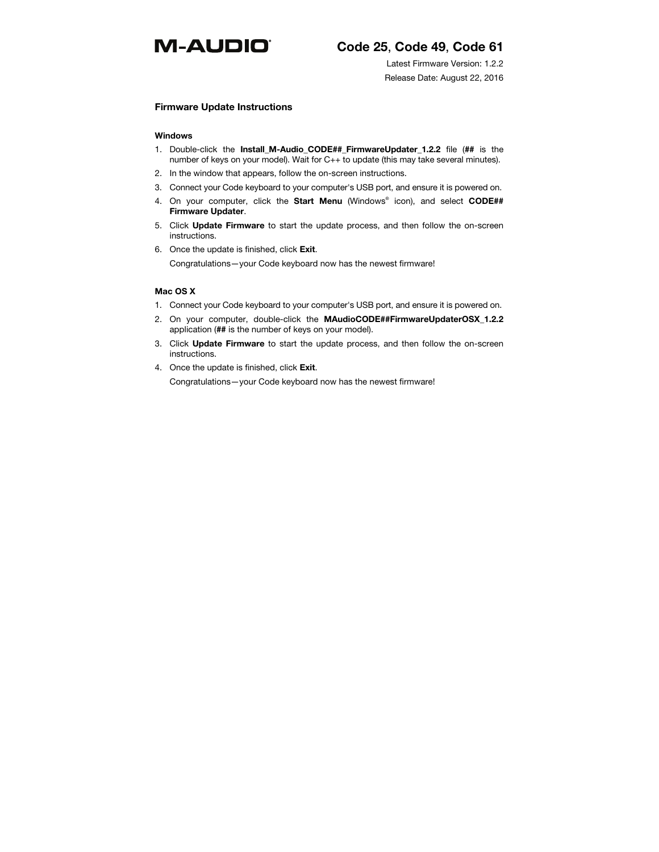# **M-AUDIO**®

# **Code 25**, **Code 49**, **Code 61**

Latest Firmware Version: 1.2.2 Release Date: August 22, 2016

## **Firmware Update Instructions**

#### **Windows**

- 1. Double-click the **Install\_M-Audio\_CODE##\_FirmwareUpdater\_1.2.2** file (**##** is the number of keys on your model). Wait for C++ to update (this may take several minutes).
- 2. In the window that appears, follow the on-screen instructions.
- 3. Connect your Code keyboard to your computer's USB port, and ensure it is powered on.
- 4. On your computer, click the **Start Menu** (Windows® icon), and select **CODE## Firmware Updater**.
- 5. Click **Update Firmware** to start the update process, and then follow the on-screen instructions.
- 6. Once the update is finished, click **Exit**.

Congratulations—your Code keyboard now has the newest firmware!

# **Mac OS X**

- 1. Connect your Code keyboard to your computer's USB port, and ensure it is powered on.
- 2. On your computer, double-click the **MAudioCODE##FirmwareUpdaterOSX\_1.2.2** application (**##** is the number of keys on your model).
- 3. Click **Update Firmware** to start the update process, and then follow the on-screen instructions.
- 4. Once the update is finished, click **Exit**.

Congratulations—your Code keyboard now has the newest firmware!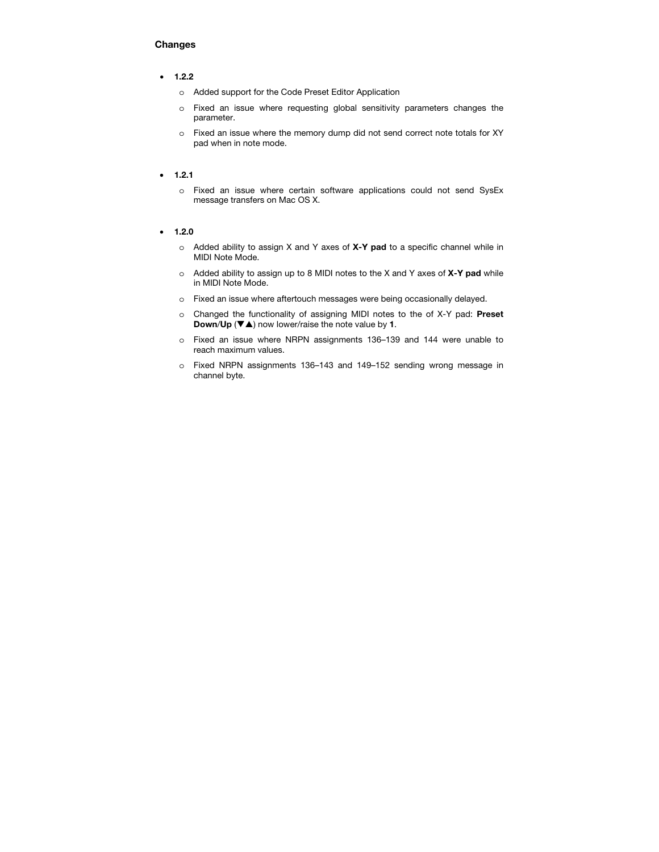## **Changes**

#### • **1.2.2**

- o Added support for the Code Preset Editor Application
- o Fixed an issue where requesting global sensitivity parameters changes the parameter.
- o Fixed an issue where the memory dump did not send correct note totals for XY pad when in note mode.

#### • **1.2.1**

o Fixed an issue where certain software applications could not send SysEx message transfers on Mac OS X.

#### • **1.2.0**

- o Added ability to assign X and Y axes of **X-Y pad** to a specific channel while in MIDI Note Mode.
- o Added ability to assign up to 8 MIDI notes to the X and Y axes of **X-Y pad** while in MIDI Note Mode.
- o Fixed an issue where aftertouch messages were being occasionally delayed.
- o Changed the functionality of assigning MIDI notes to the of X-Y pad: **Preset Down/Up** ( $\nabla$  $\triangle$ ) now lower/raise the note value by 1.
- o Fixed an issue where NRPN assignments 136–139 and 144 were unable to reach maximum values.
- o Fixed NRPN assignments 136–143 and 149–152 sending wrong message in channel byte.